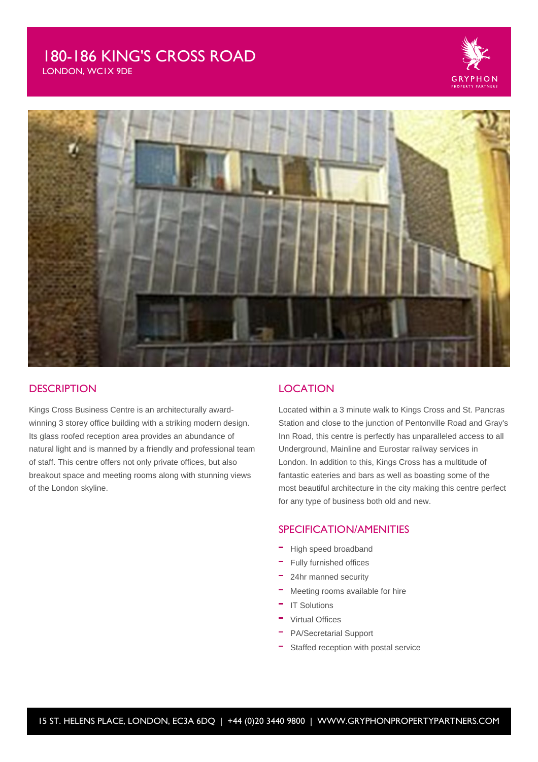# 180-186 KING'S CROSS ROAD



LONDON, WC1X 9DE



#### **DESCRIPTION**

Kings Cross Business Centre is an architecturally awardwinning 3 storey office building with a striking modern design. Its glass roofed reception area provides an abundance of natural light and is manned by a friendly and professional team of staff. This centre offers not only private offices, but also breakout space and meeting rooms along with stunning views of the London skyline.

#### **LOCATION**

Located within a 3 minute walk to Kings Cross and St. Pancras Station and close to the junction of Pentonville Road and Gray's Inn Road, this centre is perfectly has unparalleled access to all Underground, Mainline and Eurostar railway services in London. In addition to this, Kings Cross has a multitude of fantastic eateries and bars as well as boasting some of the most beautiful architecture in the city making this centre perfect for any type of business both old and new.

### SPECIFICATION/AMENITIES

- High speed broadband
- Fully furnished offices
- 24hr manned security
- Meeting rooms available for hire
- IT Solutions
- Virtual Offices
- PA/Secretarial Support
- Staffed reception with postal service